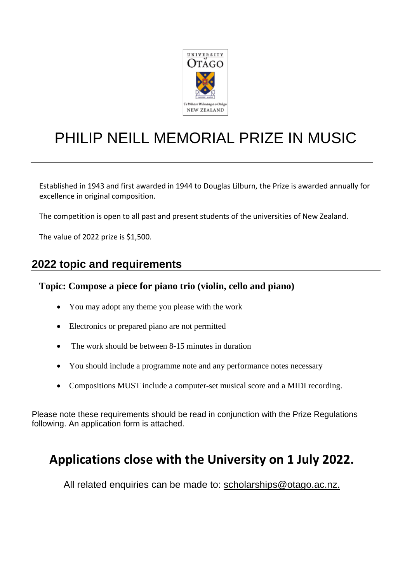

# PHILIP NEILL MEMORIAL PRIZE IN MUSIC

Established in 1943 and first awarded in 1944 to Douglas Lilburn, the Prize is awarded annually for excellence in original composition.

The competition is open to all past and present students of the universities of New Zealand.

The value of 2022 prize is \$1,500.

## **2022 topic and requirements**

#### **Topic: Compose a piece for piano trio (violin, cello and piano)**

- You may adopt any theme you please with the work
- Electronics or prepared piano are not permitted
- The work should be between 8-15 minutes in duration
- You should include a programme note and any performance notes necessary
- Compositions MUST include a computer-set musical score and a MIDI recording.

Please note these requirements should be read in conjunction with the Prize Regulations following. An application form is attached.

# **Applications close with the University on 1 July 2022.**

All related enquiries can be made to: [scholarships@otago.ac.nz.](mailto:scholarships@otago.ac.nz)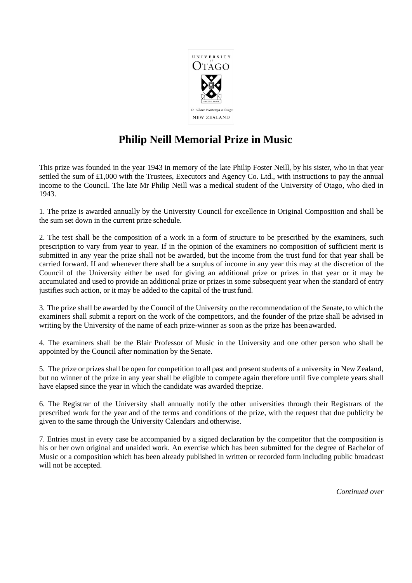

# **Philip Neill Memorial Prize in Music**

This prize was founded in the year 1943 in memory of the late Philip Foster Neill, by his sister, who in that year settled the sum of £1,000 with the Trustees, Executors and Agency Co. Ltd., with instructions to pay the annual income to the Council. The late Mr Philip Neill was a medical student of the University of Otago, who died in 1943.

1. The prize is awarded annually by the University Council for excellence in Original Composition and shall be the sum set down in the current prize schedule.

2. The test shall be the composition of a work in a form of structure to be prescribed by the examiners, such prescription to vary from year to year. If in the opinion of the examiners no composition of sufficient merit is submitted in any year the prize shall not be awarded, but the income from the trust fund for that year shall be carried forward. If and whenever there shall be a surplus of income in any year this may at the discretion of the Council of the University either be used for giving an additional prize or prizes in that year or it may be accumulated and used to provide an additional prize or prizes in some subsequent year when the standard of entry justifies such action, or it may be added to the capital of the trustfund.

3. The prize shall be awarded by the Council of the University on the recommendation of the Senate, to which the examiners shall submit a report on the work of the competitors, and the founder of the prize shall be advised in writing by the University of the name of each prize-winner as soon as the prize has been awarded.

4. The examiners shall be the Blair Professor of Music in the University and one other person who shall be appointed by the Council after nomination by the Senate.

5. The prize or prizes shall be open for competition to all past and present students of a university in New Zealand, but no winner of the prize in any year shall be eligible to compete again therefore until five complete years shall have elapsed since the year in which the candidate was awarded the prize.

6. The Registrar of the University shall annually notify the other universities through their Registrars of the prescribed work for the year and of the terms and conditions of the prize, with the request that due publicity be given to the same through the University Calendars and otherwise.

7. Entries must in every case be accompanied by a signed declaration by the competitor that the composition is his or her own original and unaided work. An exercise which has been submitted for the degree of Bachelor of Music or a composition which has been already published in written or recorded form including public broadcast will not be accepted.

*Continued over*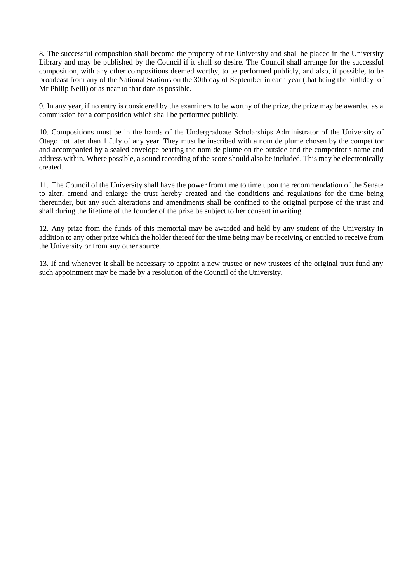8. The successful composition shall become the property of the University and shall be placed in the University Library and may be published by the Council if it shall so desire. The Council shall arrange for the successful composition, with any other compositions deemed worthy, to be performed publicly, and also, if possible, to be broadcast from any of the National Stations on the 30th day of September in each year (that being the birthday of Mr Philip Neill) or as near to that date as possible.

9. In any year, if no entry is considered by the examiners to be worthy of the prize, the prize may be awarded as a commission for a composition which shall be performed publicly.

10. Compositions must be in the hands of the Undergraduate Scholarships Administrator of the University of Otago not later than 1 July of any year. They must be inscribed with a nom de plume chosen by the competitor and accompanied by a sealed envelope bearing the nom de plume on the outside and the competitor's name and address within. Where possible, a sound recording of the score should also be included. This may be electronically created.

11. The Council of the University shall have the power from time to time upon the recommendation of the Senate to alter, amend and enlarge the trust hereby created and the conditions and regulations for the time being thereunder, but any such alterations and amendments shall be confined to the original purpose of the trust and shall during the lifetime of the founder of the prize be subject to her consent inwriting.

12. Any prize from the funds of this memorial may be awarded and held by any student of the University in addition to any other prize which the holder thereof for the time being may be receiving or entitled to receive from the University or from any other source.

13. If and whenever it shall be necessary to appoint a new trustee or new trustees of the original trust fund any such appointment may be made by a resolution of the Council of the University.